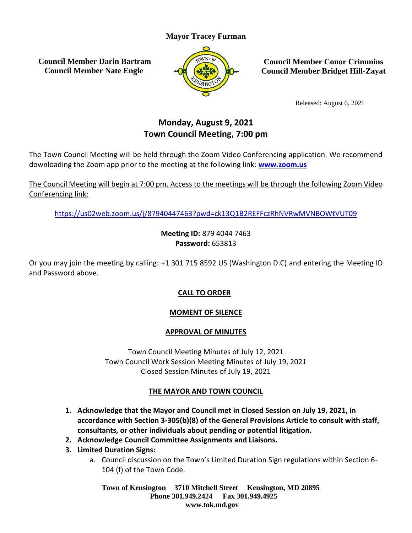# **Mayor Tracey Furman**

**Council Member Darin Bartram Council Member Nate Engle**



**Council Member Conor Crimmins Council Member Bridget Hill-Zayat**

Released: August 6, 2021

# **Monday, August 9, 2021 Town Council Meeting, 7:00 pm**

The Town Council Meeting will be held through the Zoom Video Conferencing application. We recommend downloading the Zoom app prior to the meeting at the following link: **[www.zoom.us](http://www.zoom.us/)**

The Council Meeting will begin at 7:00 pm. Access to the meetings will be through the following Zoom Video Conferencing link:

<https://us02web.zoom.us/j/87940447463?pwd=ck13Q1B2REFFczRhNVRwMVNBOWtVUT09>

**Meeting ID:** 879 4044 7463 **Password:** 653813

Or you may join the meeting by calling: +1 301 715 8592 US (Washington D.C) and entering the Meeting ID and Password above.

# **CALL TO ORDER**

## **MOMENT OF SILENCE**

## **APPROVAL OF MINUTES**

Town Council Meeting Minutes of July 12, 2021 Town Council Work Session Meeting Minutes of July 19, 2021 Closed Session Minutes of July 19, 2021

## **THE MAYOR AND TOWN COUNCIL**

- **1. Acknowledge that the Mayor and Council met in Closed Session on July 19, 2021, in accordance with Section 3-305(b)(8) of the General Provisions Article to consult with staff, consultants, or other individuals about pending or potential litigation.**
- **2. Acknowledge Council Committee Assignments and Liaisons.**
- **3. Limited Duration Signs:**
	- a. Council discussion on the Town's Limited Duration Sign regulations within Section 6- 104 (f) of the Town Code.

**Town of Kensington 3710 Mitchell Street Kensington, MD 20895 Phone 301.949.2424 Fax 301.949.4925 www.tok.md.gov**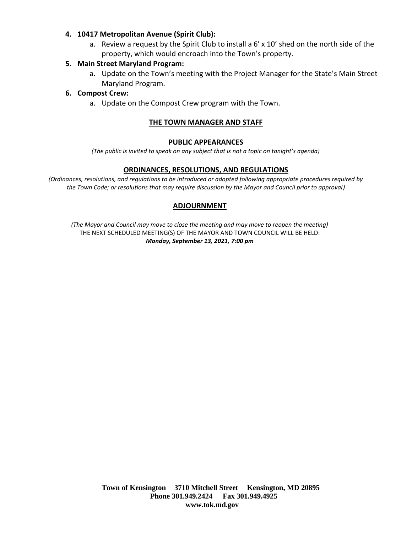#### **4. 10417 Metropolitan Avenue (Spirit Club):**

a. Review a request by the Spirit Club to install a 6' x 10' shed on the north side of the property, which would encroach into the Town's property.

#### **5. Main Street Maryland Program:**

a. Update on the Town's meeting with the Project Manager for the State's Main Street Maryland Program.

#### **6. Compost Crew:**

a. Update on the Compost Crew program with the Town.

#### **THE TOWN MANAGER AND STAFF**

#### **PUBLIC APPEARANCES**

*(The public is invited to speak on any subject that is not a topic on tonight's agenda)*

#### **ORDINANCES, RESOLUTIONS, AND REGULATIONS**

*(Ordinances, resolutions, and regulations to be introduced or adopted following appropriate procedures required by the Town Code; or resolutions that may require discussion by the Mayor and Council prior to approval)*

#### **ADJOURNMENT**

*(The Mayor and Council may move to close the meeting and may move to reopen the meeting)* THE NEXT SCHEDULED MEETING(S) OF THE MAYOR AND TOWN COUNCIL WILL BE HELD: *Monday, September 13, 2021, 7:00 pm*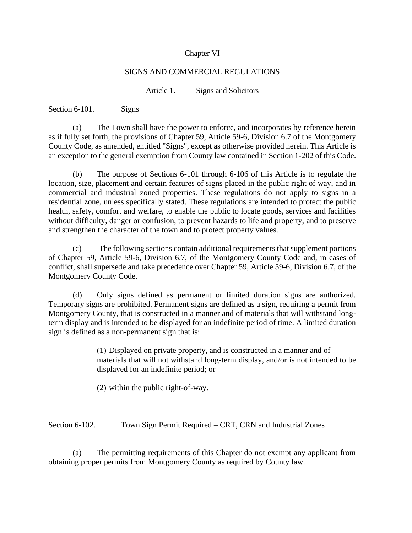#### Chapter VI

#### SIGNS AND COMMERCIAL REGULATIONS

Article 1. Signs and Solicitors

Section 6-101. Signs

(a) The Town shall have the power to enforce, and incorporates by reference herein as if fully set forth, the provisions of Chapter 59, Article 59-6, Division 6.7 of the Montgomery County Code, as amended, entitled "Signs", except as otherwise provided herein. This Article is an exception to the general exemption from County law contained in Section 1-202 of this Code.

(b) The purpose of Sections 6-101 through 6-106 of this Article is to regulate the location, size, placement and certain features of signs placed in the public right of way, and in commercial and industrial zoned properties. These regulations do not apply to signs in a residential zone, unless specifically stated. These regulations are intended to protect the public health, safety, comfort and welfare, to enable the public to locate goods, services and facilities without difficulty, danger or confusion, to prevent hazards to life and property, and to preserve and strengthen the character of the town and to protect property values.

(c) The following sections contain additional requirements that supplement portions of Chapter 59, Article 59-6, Division 6.7, of the Montgomery County Code and, in cases of conflict, shall supersede and take precedence over Chapter 59, Article 59-6, Division 6.7, of the Montgomery County Code.

(d) Only signs defined as permanent or limited duration signs are authorized. Temporary signs are prohibited. Permanent signs are defined as a sign, requiring a permit from Montgomery County, that is constructed in a manner and of materials that will withstand longterm display and is intended to be displayed for an indefinite period of time. A limited duration sign is defined as a non-permanent sign that is:

> (1) Displayed on private property, and is constructed in a manner and of materials that will not withstand long-term display, and/or is not intended to be displayed for an indefinite period; or

(2) within the public right-of-way.

Section 6-102. Town Sign Permit Required – CRT, CRN and Industrial Zones

(a) The permitting requirements of this Chapter do not exempt any applicant from obtaining proper permits from Montgomery County as required by County law.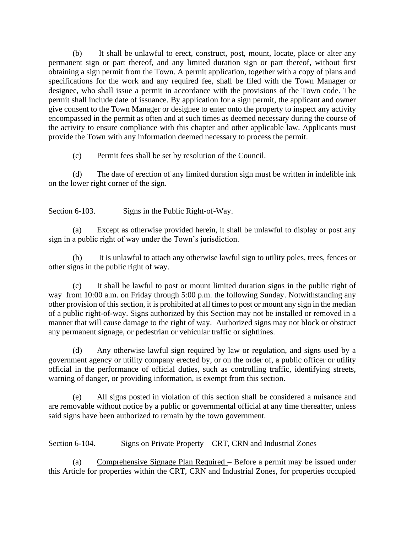(b) It shall be unlawful to erect, construct, post, mount, locate, place or alter any permanent sign or part thereof, and any limited duration sign or part thereof, without first obtaining a sign permit from the Town. A permit application, together with a copy of plans and specifications for the work and any required fee, shall be filed with the Town Manager or designee, who shall issue a permit in accordance with the provisions of the Town code. The permit shall include date of issuance. By application for a sign permit, the applicant and owner give consent to the Town Manager or designee to enter onto the property to inspect any activity encompassed in the permit as often and at such times as deemed necessary during the course of the activity to ensure compliance with this chapter and other applicable law. Applicants must provide the Town with any information deemed necessary to process the permit.

(c) Permit fees shall be set by resolution of the Council.

(d) The date of erection of any limited duration sign must be written in indelible ink on the lower right corner of the sign.

Section 6-103. Signs in the Public Right-of-Way.

(a) Except as otherwise provided herein, it shall be unlawful to display or post any sign in a public right of way under the Town's jurisdiction.

(b) It is unlawful to attach any otherwise lawful sign to utility poles, trees, fences or other signs in the public right of way.

(c) It shall be lawful to post or mount limited duration signs in the public right of way from 10:00 a.m. on Friday through 5:00 p.m. the following Sunday. Notwithstanding any other provision of this section, it is prohibited at all times to post or mount any sign in the median of a public right-of-way. Signs authorized by this Section may not be installed or removed in a manner that will cause damage to the right of way. Authorized signs may not block or obstruct any permanent signage, or pedestrian or vehicular traffic or sightlines.

(d) Any otherwise lawful sign required by law or regulation, and signs used by a government agency or utility company erected by, or on the order of, a public officer or utility official in the performance of official duties, such as controlling traffic, identifying streets, warning of danger, or providing information, is exempt from this section.

(e) All signs posted in violation of this section shall be considered a nuisance and are removable without notice by a public or governmental official at any time thereafter, unless said signs have been authorized to remain by the town government.

Section 6-104. Signs on Private Property – CRT, CRN and Industrial Zones

(a) Comprehensive Signage Plan Required – Before a permit may be issued under this Article for properties within the CRT, CRN and Industrial Zones, for properties occupied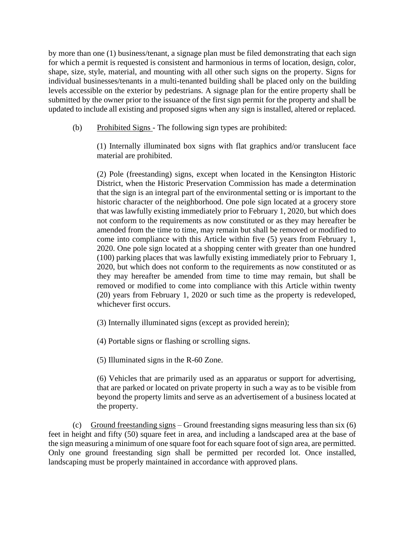by more than one (1) business/tenant, a signage plan must be filed demonstrating that each sign for which a permit is requested is consistent and harmonious in terms of location, design, color, shape, size, style, material, and mounting with all other such signs on the property. Signs for individual businesses/tenants in a multi-tenanted building shall be placed only on the building levels accessible on the exterior by pedestrians. A signage plan for the entire property shall be submitted by the owner prior to the issuance of the first sign permit for the property and shall be updated to include all existing and proposed signs when any sign is installed, altered or replaced.

(b) Prohibited Signs - The following sign types are prohibited:

(1) Internally illuminated box signs with flat graphics and/or translucent face material are prohibited.

(2) Pole (freestanding) signs, except when located in the Kensington Historic District, when the Historic Preservation Commission has made a determination that the sign is an integral part of the environmental setting or is important to the historic character of the neighborhood. One pole sign located at a grocery store that was lawfully existing immediately prior to February 1, 2020, but which does not conform to the requirements as now constituted or as they may hereafter be amended from the time to time, may remain but shall be removed or modified to come into compliance with this Article within five (5) years from February 1, 2020. One pole sign located at a shopping center with greater than one hundred (100) parking places that was lawfully existing immediately prior to February 1, 2020, but which does not conform to the requirements as now constituted or as they may hereafter be amended from time to time may remain, but shall be removed or modified to come into compliance with this Article within twenty (20) years from February 1, 2020 or such time as the property is redeveloped, whichever first occurs.

(3) Internally illuminated signs (except as provided herein);

(4) Portable signs or flashing or scrolling signs.

(5) Illuminated signs in the R-60 Zone.

(6) Vehicles that are primarily used as an apparatus or support for advertising, that are parked or located on private property in such a way as to be visible from beyond the property limits and serve as an advertisement of a business located at the property.

(c) Ground freestanding signs – Ground freestanding signs measuring less than six (6) feet in height and fifty (50) square feet in area, and including a landscaped area at the base of the sign measuring a minimum of one square foot for each square foot of sign area, are permitted. Only one ground freestanding sign shall be permitted per recorded lot. Once installed, landscaping must be properly maintained in accordance with approved plans.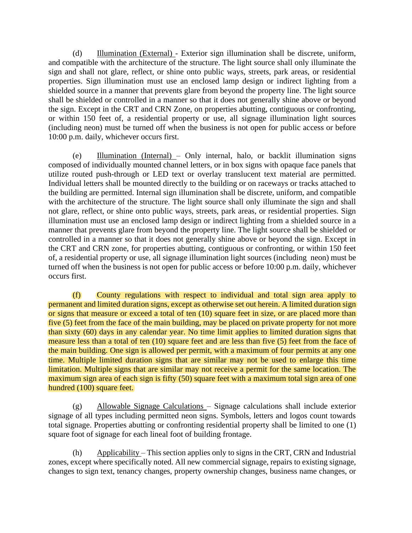(d) Illumination (External) - Exterior sign illumination shall be discrete, uniform, and compatible with the architecture of the structure. The light source shall only illuminate the sign and shall not glare, reflect, or shine onto public ways, streets, park areas, or residential properties. Sign illumination must use an enclosed lamp design or indirect lighting from a shielded source in a manner that prevents glare from beyond the property line. The light source shall be shielded or controlled in a manner so that it does not generally shine above or beyond the sign. Except in the CRT and CRN Zone, on properties abutting, contiguous or confronting, or within 150 feet of, a residential property or use, all signage illumination light sources (including neon) must be turned off when the business is not open for public access or before 10:00 p.m. daily, whichever occurs first.

(e) Illumination (Internal) – Only internal, halo, or backlit illumination signs composed of individually mounted channel letters, or in box signs with opaque face panels that utilize routed push-through or LED text or overlay translucent text material are permitted. Individual letters shall be mounted directly to the building or on raceways or tracks attached to the building are permitted. Internal sign illumination shall be discrete, uniform, and compatible with the architecture of the structure. The light source shall only illuminate the sign and shall not glare, reflect, or shine onto public ways, streets, park areas, or residential properties. Sign illumination must use an enclosed lamp design or indirect lighting from a shielded source in a manner that prevents glare from beyond the property line. The light source shall be shielded or controlled in a manner so that it does not generally shine above or beyond the sign. Except in the CRT and CRN zone, for properties abutting, contiguous or confronting, or within 150 feet of, a residential property or use, all signage illumination light sources (including neon) must be turned off when the business is not open for public access or before 10:00 p.m. daily, whichever occurs first.

(f) County regulations with respect to individual and total sign area apply to permanent and limited duration signs, except as otherwise set out herein. A limited duration sign or signs that measure or exceed a total of ten (10) square feet in size, or are placed more than five (5) feet from the face of the main building, may be placed on private property for not more than sixty (60) days in any calendar year. No time limit applies to limited duration signs that measure less than a total of ten (10) square feet and are less than five (5) feet from the face of the main building. One sign is allowed per permit, with a maximum of four permits at any one time. Multiple limited duration signs that are similar may not be used to enlarge this time limitation. Multiple signs that are similar may not receive a permit for the same location. The maximum sign area of each sign is fifty (50) square feet with a maximum total sign area of one hundred (100) square feet.

(g) Allowable Signage Calculations – Signage calculations shall include exterior signage of all types including permitted neon signs. Symbols, letters and logos count towards total signage. Properties abutting or confronting residential property shall be limited to one (1) square foot of signage for each lineal foot of building frontage.

(h) Applicability – This section applies only to signs in the CRT, CRN and Industrial zones, except where specifically noted. All new commercial signage, repairs to existing signage, changes to sign text, tenancy changes, property ownership changes, business name changes, or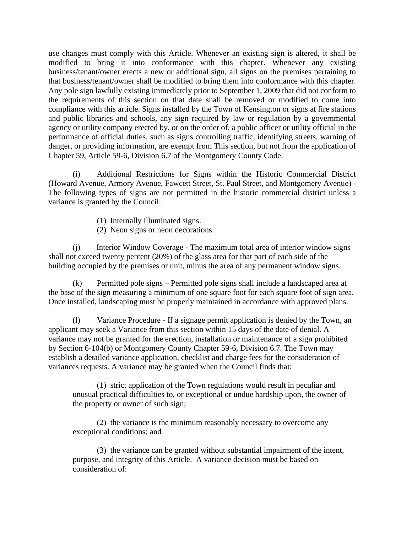use changes must comply with this Article. Whenever an existing sign is altered, it shall be modified to bring it into conformance with this chapter. Whenever any existing business/tenant/owner erects a new or additional sign, all signs on the premises pertaining to that business/tenant/owner shall be modified to bring them into conformance with this chapter. Any pole sign lawfully existing immediately prior to September 1, 2009 that did not conform to the requirements of this section on that date shall be removed or modified to come into compliance with this article. Signs installed by the Town of Kensington or signs at fire stations and public libraries and schools, any sign required by law or regulation by a governmental agency or utility company erected by, or on the order of, a public officer or utility official in the performance of official duties, such as signs controlling traffic, identifying streets, warning of danger, or providing information, are exempt from This section, but not from the application of Chapter 59, Article 59-6, Division 6.7 of the Montgomery County Code.

(i) Additional Restrictions for Signs within the Historic Commercial District (Howard Avenue, Armory Avenue, Fawcett Street, St. Paul Street, and Montgomery Avenue) - The following types of signs are not permitted in the historic commercial district unless a variance is granted by the Council:

- (1) Internally illuminated signs.
- (2) Neon signs or neon decorations.

(j) Interior Window Coverage - The maximum total area of interior window signs shall not exceed twenty percent (20%) of the glass area for that part of each side of the building occupied by the premises or unit, minus the area of any permanent window signs.

(k) Permitted pole signs – Permitted pole signs shall include a landscaped area at the base of the sign measuring a minimum of one square foot for each square foot of sign area. Once installed, landscaping must be properly maintained in accordance with approved plans.

(l) Variance Procedure - If a signage permit application is denied by the Town, an applicant may seek a Variance from this section within 15 days of the date of denial. A variance may not be granted for the erection, installation or maintenance of a sign prohibited by Section 6-104(b) or Montgomery County Chapter 59-6, Division 6.7. The Town may establish a detailed variance application, checklist and charge fees for the consideration of variances requests. A variance may be granted when the Council finds that:

(1) strict application of the Town regulations would result in peculiar and unusual practical difficulties to, or exceptional or undue hardship upon, the owner of the property or owner of such sign;

(2) the variance is the minimum reasonably necessary to overcome any exceptional conditions; and

(3) the variance can be granted without substantial impairment of the intent, purpose, and integrity of this Article. A variance decision must be based on consideration of: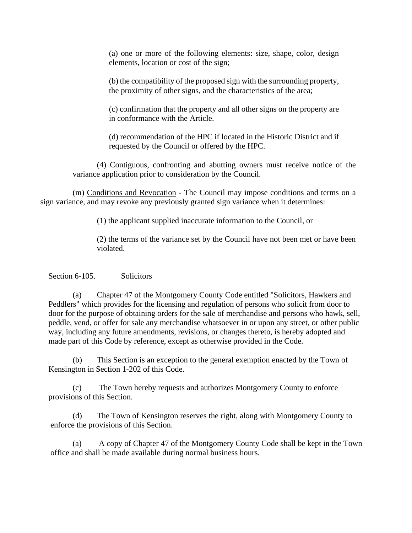(a) one or more of the following elements: size, shape, color, design elements, location or cost of the sign;

(b) the compatibility of the proposed sign with the surrounding property, the proximity of other signs, and the characteristics of the area;

(c) confirmation that the property and all other signs on the property are in conformance with the Article.

(d) recommendation of the HPC if located in the Historic District and if requested by the Council or offered by the HPC.

(4) Contiguous, confronting and abutting owners must receive notice of the variance application prior to consideration by the Council.

(m) Conditions and Revocation - The Council may impose conditions and terms on a sign variance, and may revoke any previously granted sign variance when it determines:

(1) the applicant supplied inaccurate information to the Council, or

(2) the terms of the variance set by the Council have not been met or have been violated.

Section 6-105. Solicitors

(a) Chapter 47 of the Montgomery County Code entitled "Solicitors, Hawkers and Peddlers" which provides for the licensing and regulation of persons who solicit from door to door for the purpose of obtaining orders for the sale of merchandise and persons who hawk, sell, peddle, vend, or offer for sale any merchandise whatsoever in or upon any street, or other public way, including any future amendments, revisions, or changes thereto, is hereby adopted and made part of this Code by reference, except as otherwise provided in the Code.

(b) This Section is an exception to the general exemption enacted by the Town of Kensington in Section 1-202 of this Code.

(c) The Town hereby requests and authorizes Montgomery County to enforce provisions of this Section.

(d) The Town of Kensington reserves the right, along with Montgomery County to enforce the provisions of this Section.

(a) A copy of Chapter 47 of the Montgomery County Code shall be kept in the Town office and shall be made available during normal business hours.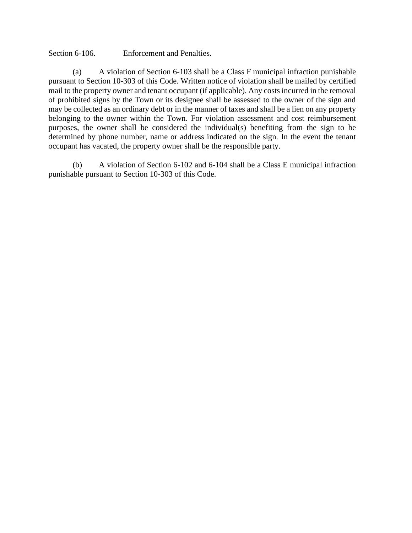Section 6-106. Enforcement and Penalties.

(a) A violation of Section 6-103 shall be a Class F municipal infraction punishable pursuant to Section 10-303 of this Code. Written notice of violation shall be mailed by certified mail to the property owner and tenant occupant (if applicable). Any costs incurred in the removal of prohibited signs by the Town or its designee shall be assessed to the owner of the sign and may be collected as an ordinary debt or in the manner of taxes and shall be a lien on any property belonging to the owner within the Town. For violation assessment and cost reimbursement purposes, the owner shall be considered the individual(s) benefiting from the sign to be determined by phone number, name or address indicated on the sign. In the event the tenant occupant has vacated, the property owner shall be the responsible party.

(b) A violation of Section 6-102 and 6-104 shall be a Class E municipal infraction punishable pursuant to Section 10-303 of this Code.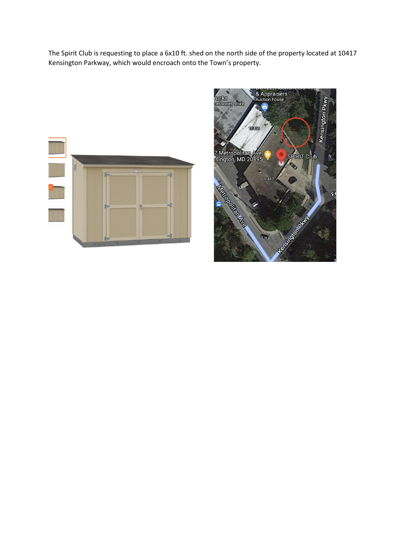The Spirit Club is requesting to place a 6x10 ft. shed on the north side of the property located at 10417 Kensington Parkway, which would encroach onto the Town's property.



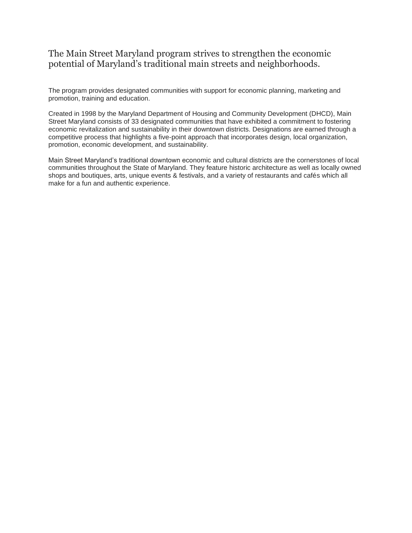# The Main Street Maryland program strives to strengthen the economic potential of Maryland's traditional main streets and neighborhoods.

The program provides designated communities with support for economic planning, marketing and promotion, training and education.

Created in 1998 by the Maryland Department of Housing and Community Development (DHCD), Main Street Maryland consists of 33 designated communities that have exhibited a commitment to fostering economic revitalization and sustainability in their downtown districts. Designations are earned through a competitive process that highlights a five-point approach that incorporates design, local organization, promotion, economic development, and sustainability.

Main Street Maryland's traditional downtown economic and cultural districts are the cornerstones of local communities throughout the State of Maryland. They feature historic architecture as well as locally owned shops and boutiques, arts, unique events & festivals, and a variety of restaurants and cafés which all make for a fun and authentic experience.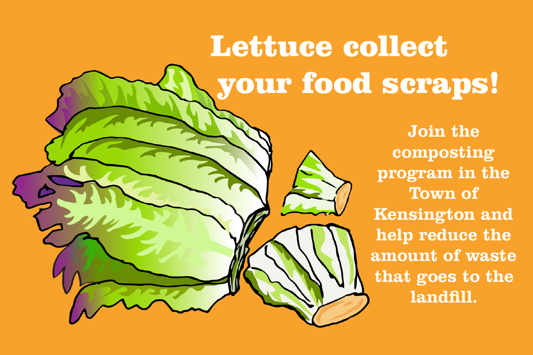# Lettuce collect your food scraps!

**Join the composting program in the Town of Kensington and help reduce the amount of waste that goes to the landfill.**